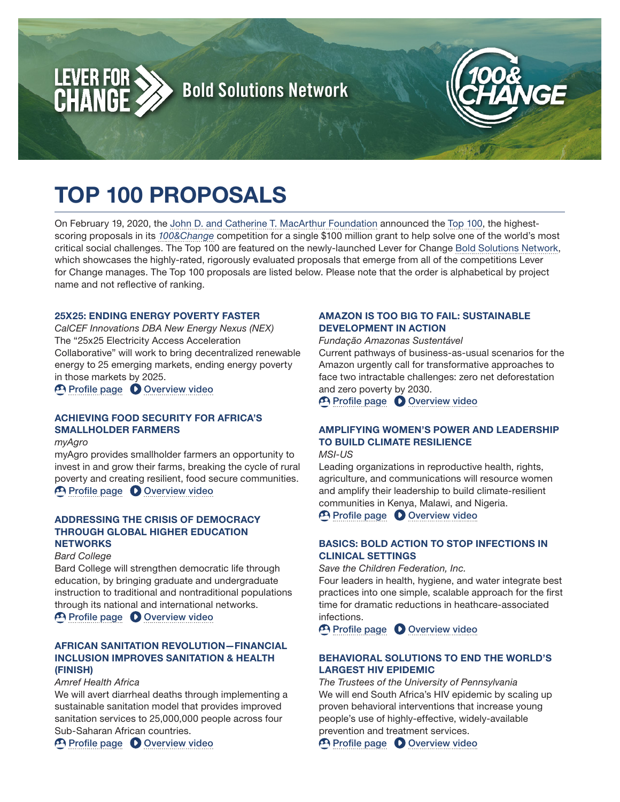

# TOP 100 PROPOSALS

On February 19, 2020, the [John D. and Catherine T. MacArthur Foundation](https://www.macfound.org/) announced the [Top 100,](https://www.macfound.org/press/press-releases/announcing-top-100-proposals-100-million-grant/) the highestscoring proposals in its *[100&Change](https://www.macfound.org/programs/100change/)* competition for a single \$100 million grant to help solve one of the world's most critical social challenges. The Top 100 are featured on the newly-launched Lever for Change [Bold Solutions Network](https://solutions.leverforchange.org/), which showcases the highly-rated, rigorously evaluated proposals that emerge from all of the competitions Lever for Change manages. The Top 100 proposals are listed below. Please note that the order is alphabetical by project name and not reflective of ranking.

### 25X25: ENDING ENERGY POVERTY FASTER

*CalCEF Innovations DBA New Energy Nexus (NEX)* The "25x25 Electricity Access Acceleration Collaborative" will work to bring decentralized renewable energy to 25 emerging markets, ending energy poverty in those markets by 2025.

**P** [Profile page](https://solutions.leverforchange.org/100-change-2020/25x25-ending-energy-poverty-faster/) **D** [Overview video](https://www.youtube.com/watch?v=58rjzzcXhx0)

# ACHIEVING FOOD SECURITY FOR AFRICA'S SMALLHOLDER FARMERS

*myAgro*

myAgro provides smallholder farmers an opportunity to invest in and grow their farms, breaking the cycle of rural poverty and creating resilient, food secure communities. [Profile page](https://solutions.leverforchange.org/100-change-2020/achieving-food-security-for-africas-smallholder-farmers/) **O** [Overview video](https://www.youtube.com/watch?v=628ovSwBoYs)

### ADDRESSING THE CRISIS OF DEMOCRACY THROUGH GLOBAL HIGHER EDUCATION **NETWORKS**

#### *Bard College*

Bard College will strengthen democratic life through education, by bringing graduate and undergraduate instruction to traditional and nontraditional populations through its national and international networks.

**P** [Profile page](https://solutions.leverforchange.org/100-change-2020/addressing-the-crisis-of-democracy-through-global-higher-education-networks/) **D** [Overview video](https://www.youtube.com/watch?v=6x6-Qv3bGc4)

# AFRICAN SANITATION REVOLUTION—FINANCIAL INCLUSION IMPROVES SANITATION & HEALTH (FINISH)

*Amref Health Africa*

We will avert diarrheal deaths through implementing a sustainable sanitation model that provides improved sanitation services to 25,000,000 people across four Sub-Saharan African countries.

[Profile page](https://solutions.leverforchange.org/100-change-2020/african-sanitation-revolution-financial-inclusion-improves-sanitation-health-finish/) **O** [Overview video](https://www.youtube.com/watch?v=8Bvo5bubY1U)

# AMAZON IS TOO BIG TO FAIL: SUSTAINABLE DEVELOPMENT IN ACTION

*Fundação Amazonas Sustentável*

Current pathways of business-as-usual scenarios for the Amazon urgently call for transformative approaches to face two intractable challenges: zero net deforestation and zero poverty by 2030.



# AMPLIFYING WOMEN'S POWER AND LEADERSHIP TO BUILD CLIMATE RESILIENCE

*MSI-US*

Leading organizations in reproductive health, rights, agriculture, and communications will resource women and amplify their leadership to build climate-resilient communities in Kenya, Malawi, and Nigeria.

[Profile page](https://solutions.leverforchange.org/100-change-2020/amplifying-womens-power-and-leadership-to-build-climate-resilience/) **O** [Overview video](https://www.youtube.com/watch?v=CO2vDkPI6po)

# BASICS: BOLD ACTION TO STOP INFECTIONS IN CLINICAL SETTINGS

*Save the Children Federation, Inc.*

Four leaders in health, hygiene, and water integrate best practices into one simple, scalable approach for the first time for dramatic reductions in heathcare-associated infections.

**P** [Profile page](https://solutions.leverforchange.org/100-change-2020/basics-bold-action-to-stop-infections-in-clinical-settings/) **D** [Overview video](https://www.youtube.com/watch?v=F5wcYAngt5I)

# BEHAVIORAL SOLUTIONS TO END THE WORLD'S LARGEST HIV EPIDEMIC

*The Trustees of the University of Pennsylvania* We will end South Africa's HIV epidemic by scaling up proven behavioral interventions that increase young people's use of highly-effective, widely-available prevention and treatment services.

[Profile page](https://solutions.leverforchange.org/100-change-2020/behavioral-solutions-to-end-the-worlds-largest-hiv-epidemic/) **O** [Overview video](https://www.youtube.com/watch?v=lqB4_kNMC1Q)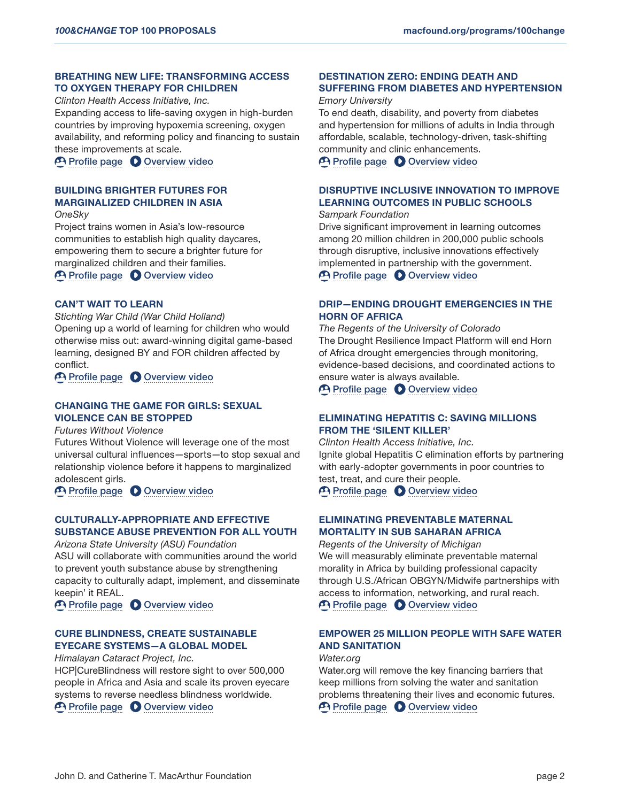### BREATHING NEW LIFE: TRANSFORMING ACCESS TO OXYGEN THERAPY FOR CHILDREN

*Clinton Health Access Initiative, Inc.*

Expanding access to life-saving oxygen in high-burden countries by improving hypoxemia screening, oxygen availability, and reforming policy and financing to sustain these improvements at scale.

**P** [Profile page](https://solutions.leverforchange.org/100-change-2020/breathing-new-life-transforming-access-to-oxygen-therapy-for-children/) **O** [Overview video](https://www.youtube.com/watch?v=S861xQe_wEI)

# BUILDING BRIGHTER FUTURES FOR MARGINALIZED CHILDREN IN ASIA

*OneSky*

Project trains women in Asia's low-resource communities to establish high quality daycares, empowering them to secure a brighter future for marginalized children and their families.

[Profile page](https://solutions.leverforchange.org/100-change-2020/building-brighter-futures-for-marginalized-children-in-asia/) **O** [Overview video](https://www.youtube.com/watch?v=42MIk1a4MQc)

# CAN'T WAIT TO LEARN

*Stichting War Child (War Child Holland)* Opening up a world of learning for children who would otherwise miss out: award-winning digital game-based learning, designed BY and FOR children affected by conflict.

**P [Profile page](https://solutions.leverforchange.org/100-change-2020/cant-wait-to-learn/) O [Overview video](https://www.youtube.com/watch?v=mN3QPmZjwpM)** 

### CHANGING THE GAME FOR GIRLS: SEXUAL VIOLENCE CAN BE STOPPED

*Futures Without Violence*

Futures Without Violence will leverage one of the most universal cultural influences—sports—to stop sexual and relationship violence before it happens to marginalized adolescent girls.

[Profile page](https://solutions.leverforchange.org/100-change-2020/changing-the-game-for-girls-sexual-violence-can-be-stopped/) **O** [Overview video](https://www.youtube.com/watch?v=R80dSihOAFI)

# CULTURALLY-APPROPRIATE AND EFFECTIVE SUBSTANCE ABUSE PREVENTION FOR ALL YOUTH

*Arizona State University (ASU) Foundation*

ASU will collaborate with communities around the world to prevent youth substance abuse by strengthening capacity to culturally adapt, implement, and disseminate keepin' it REAL.

[Profile page](https://solutions.leverforchange.org/100-change-2020/culturally-appropriate-and-effective-substance-abuse-prevention-for-all-youth/) **O** [Overview video](https://www.youtube.com/watch?v=Nr3p1o0xEPM)

# CURE BLINDNESS, CREATE SUSTAINABLE EYECARE SYSTEMS—A GLOBAL MODEL

*Himalayan Cataract Project, Inc.*

HCP|CureBlindness will restore sight to over 500,000 people in Africa and Asia and scale its proven eyecare systems to reverse needless blindness worldwide.

**P** [Profile page](https://solutions.leverforchange.org/100-change-2020/cure-blindness-create-sustainable-eyecare-systems-a-global-model/) **O** [Overview video](https://www.youtube.com/watch?v=_Zqf2d6q77g)

# DESTINATION ZERO: ENDING DEATH AND SUFFERING FROM DIABETES AND HYPERTENSION

#### *Emory University*

To end death, disability, and poverty from diabetes and hypertension for millions of adults in India through affordable, scalable, technology-driven, task-shifting community and clinic enhancements.

**P** [Profile page](https://solutions.leverforchange.org/100-change-2020/destination-zero-ending-death-and-suffering-from-diabetes-and-hypertension/) **O** [Overview video](https://www.youtube.com/watch?v=QEQtjq87B0o)

# DISRUPTIVE INCLUSIVE INNOVATION TO IMPROVE LEARNING OUTCOMES IN PUBLIC SCHOOLS

#### *Sampark Foundation*

Drive significant improvement in learning outcomes among 20 million children in 200,000 public schools through disruptive, inclusive innovations effectively implemented in partnership with the government. [Profile page](https://solutions.leverforchange.org/100-change-2020/disruptive-inclusive-innovation-to-improve-learning-outcomes-in-public-schools/) **O** [Overview video](https://www.youtube.com/watch?v=AHsQSG02ZNY)

# DRIP—ENDING DROUGHT EMERGENCIES IN THE HORN OF AFRICA

*The Regents of the University of Colorado* The Drought Resilience Impact Platform will end Horn of Africa drought emergencies through monitoring, evidence-based decisions, and coordinated actions to ensure water is always available.

**P** [Profile page](https://solutions.leverforchange.org/100-change-2020/drip-ending-drought-emergencies-in-the-horn-of-africa/) **D** [Overview video](https://www.youtube.com/watch?v=vexw0S_2NDQ)

# ELIMINATING HEPATITIS C: SAVING MILLIONS FROM THE 'SILENT KILLER'

*Clinton Health Access Initiative, Inc.* Ignite global Hepatitis C elimination efforts by partnering with early-adopter governments in poor countries to test, treat, and cure their people.

[Profile page](https://solutions.leverforchange.org/100-change-2020/eliminating-hepatitis-c-saving-millions-from-the-silent-killer/) **O** [Overview video](https://www.youtube.com/watch?v=LRBiBGc55Q4)

# ELIMINATING PREVENTABLE MATERNAL MORTALITY IN SUB SAHARAN AFRICA

*Regents of the University of Michigan* We will measurably eliminate preventable maternal morality in Africa by building professional capacity through U.S./African OBGYN/Midwife partnerships with access to information, networking, and rural reach. **P [Profile page](https://solutions.leverforchange.org/100-change-2020/eliminating-preventable-maternal-mortality-in-sub-saharan-africa/) C** [Overview video](https://www.youtube.com/watch?v=gKnzoaaTMS8)

# EMPOWER 25 MILLION PEOPLE WITH SAFE WATER AND SANITATION

#### *Water.org*

Water.org will remove the key financing barriers that keep millions from solving the water and sanitation problems threatening their lives and economic futures. **P** [Profile page](https://solutions.leverforchange.org/100-change-2020/empower-25-million-people-with-safe-water-and-sanitation/) **O** [Overview video](https://www.youtube.com/watch?v=4ab4LxZVIsc)

John D. and Catherine T. MacArthur Foundation page 2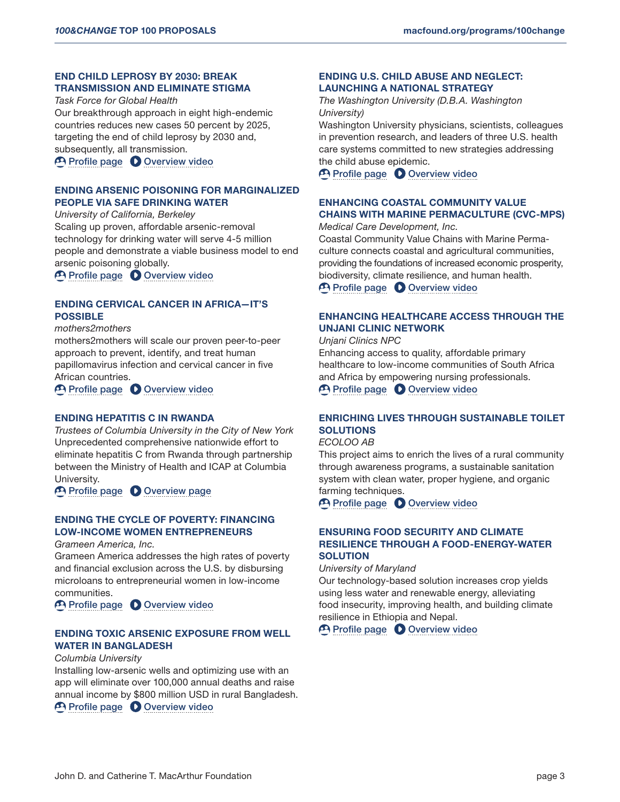# END CHILD LEPROSY BY 2030: BREAK TRANSMISSION AND ELIMINATE STIGMA

*Task Force for Global Health* Our breakthrough approach in eight high-endemic countries reduces new cases 50 percent by 2025, targeting the end of child leprosy by 2030 and, subsequently, all transmission.

**P [Profile page](https://solutions.leverforchange.org/100-change-2020/end-child-leprosy-by-2030-break-transmission-and-eliminate-stigma/) C** [Overview video](https://www.youtube.com/watch?v=-izK0RwXCKc)

# ENDING ARSENIC POISONING FOR MARGINALIZED PEOPLE VIA SAFE DRINKING WATER

*University of California, Berkeley* Scaling up proven, affordable arsenic-removal technology for drinking water will serve 4-5 million people and demonstrate a viable business model to end arsenic poisoning globally.

[Profile page](https://solutions.leverforchange.org/100-change-2020/ending-arsenic-poisoning-for-marginalized-people-via-safe-drinking-water/) **O** [Overview video](https://www.youtube.com/watch?v=FeMP2-ZV67I)

# ENDING CERVICAL CANCER IN AFRICA—IT'S POSSIBLE

*mothers2mothers*

mothers2mothers will scale our proven peer-to-peer approach to prevent, identify, and treat human papillomavirus infection and cervical cancer in five African countries.

**P [Profile page](https://solutions.leverforchange.org/100-change-2020/ending-cervical-cancer-in-africa-its-possible/) C** [Overview video](https://www.youtube.com/watch?v=WrvXYKZe66o)

#### ENDING HEPATITIS C IN RWANDA

*Trustees of Columbia University in the City of New York* Unprecedented comprehensive nationwide effort to eliminate hepatitis C from Rwanda through partnership between the Ministry of Health and ICAP at Columbia University.

[Profile page](https://solutions.leverforchange.org/100-change-2020/ending-hepatitis-c-in-rwanda/) **O** [Overview page](https://www.youtube.com/watch?v=Xo1OV0rqZno)

# ENDING THE CYCLE OF POVERTY: FINANCING LOW-INCOME WOMEN ENTREPRENEURS

*Grameen America, Inc.*

Grameen America addresses the high rates of poverty and financial exclusion across the U.S. by disbursing microloans to entrepreneurial women in low-income communities.

[Profile page](https://solutions.leverforchange.org/100-change-2020/ending-the-cycle-of-poverty-financing-low-income-women-entrepreneurs/) **O** [Overview video](https://www.youtube.com/watch?v=XjcxBtcauJQ)

# ENDING TOXIC ARSENIC EXPOSURE FROM WELL WATER IN BANGLADESH

#### *Columbia University*

Installing low-arsenic wells and optimizing use with an app will eliminate over 100,000 annual deaths and raise annual income by \$800 million USD in rural Bangladesh. **P** [Profile page](https://solutions.leverforchange.org/100-change-2020/ending-toxic-arsenic-exposure-from-well-water-in-bangladesh/) **O** [Overview video](https://www.youtube.com/watch?v=2X2YcSGNug0)

ENDING U.S. CHILD ABUSE AND NEGLECT: LAUNCHING A NATIONAL STRATEGY

*The Washington University (D.B.A. Washington University)*

Washington University physicians, scientists, colleagues in prevention research, and leaders of three U.S. health care systems committed to new strategies addressing the child abuse epidemic.

[Profile page](https://solutions.leverforchange.org/100-change-2020/ending-us-child-abuse-and-neglect-launching-a-national-strategy/) **O** [Overview video](https://www.youtube.com/watch?v=ZSE-gBMAWQE)

# ENHANCING COASTAL COMMUNITY VALUE CHAINS WITH MARINE PERMACULTURE (CVC-MPS)

*Medical Care Development, Inc.*

Coastal Community Value Chains with Marine Permaculture connects coastal and agricultural communities, providing the foundations of increased economic prosperity, biodiversity, climate resilience, and human health.

**P [Profile page](https://solutions.leverforchange.org/100-change-2020/enhancing-coastal-community-value-chains-with-marine-permaculture-cvc-mps/) C** [Overview video](https://www.youtube.com/watch?v=KYeGFPa5FfA)

# ENHANCING HEALTHCARE ACCESS THROUGH THE UNJANI CLINIC NETWORK

*Unjani Clinics NPC*

Enhancing access to quality, affordable primary healthcare to low-income communities of South Africa and Africa by empowering nursing professionals. **P [Profile page](https://solutions.leverforchange.org/100-change-2020/enhancing-healthcare-access-through-the-unjani-clinic-network/) C** [Overview video](https://www.youtube.com/watch?v=BMSc5u6Trgk)

# ENRICHING LIVES THROUGH SUSTAINABLE TOILET **SOLUTIONS**

# *ECOLOO AB*

This project aims to enrich the lives of a rural community through awareness programs, a sustainable sanitation system with clean water, proper hygiene, and organic farming techniques.

[Profile page](https://solutions.leverforchange.org/100-change-2020/enriching-lives-through-sustainable-toilet-solutions/) **O** [Overview video](https://www.youtube.com/watch?v=uSZKdPHt6M8)

# ENSURING FOOD SECURITY AND CLIMATE RESILIENCE THROUGH A FOOD-ENERGY-WATER **SOLUTION**

*University of Maryland*

Our technology-based solution increases crop yields using less water and renewable energy, alleviating food insecurity, improving health, and building climate resilience in Ethiopia and Nepal.

**P** [Profile page](https://solutions.leverforchange.org/100-change-2020/ensuring-food-security-and-climate-resilience-through-a-food-energy-water-solution/) **O** [Overview video](https://www.youtube.com/watch?v=7P7s4uAzV-4)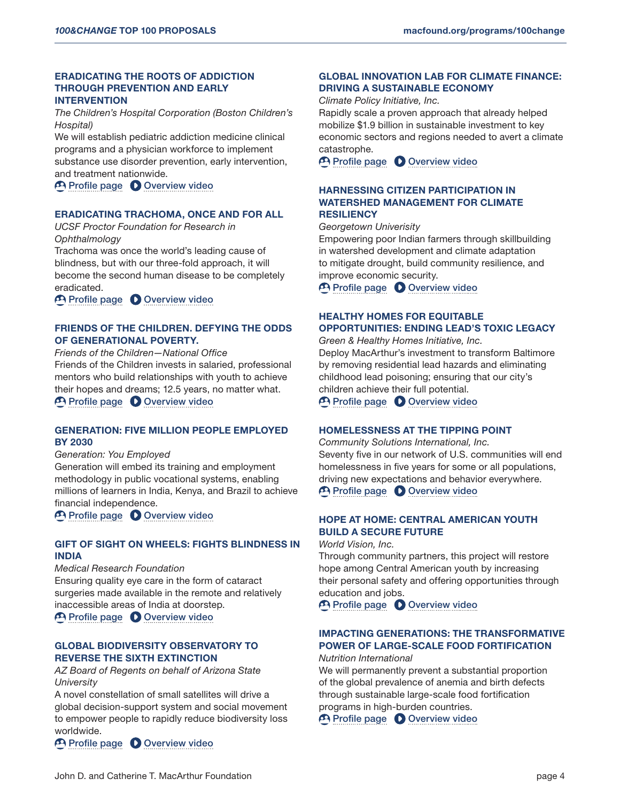# ERADICATING THE ROOTS OF ADDICTION THROUGH PREVENTION AND EARLY INTERVENTION

*The Children's Hospital Corporation (Boston Children's Hospital)*

We will establish pediatric addiction medicine clinical programs and a physician workforce to implement substance use disorder prevention, early intervention, and treatment nationwide.

[Profile page](https://solutions.leverforchange.org/100-change-2020/eradicating-the-roots-of-addiction-through-prevention-and-early-intervention/) **O** [Overview video](https://www.youtube.com/watch?v=oGLEA2HvML4)

### ERADICATING TRACHOMA, ONCE AND FOR ALL

*UCSF Proctor Foundation for Research in Ophthalmology*

Trachoma was once the world's leading cause of blindness, but with our three-fold approach, it will become the second human disease to be completely eradicated.

**P [Profile page](https://solutions.leverforchange.org/100-change-2020/eradicating-trachoma-once-and-for-all/) C** [Overview video](https://www.youtube.com/watch?v=rFpjTcGTW8I)

# FRIENDS OF THE CHILDREN. DEFYING THE ODDS OF GENERATIONAL POVERTY.

*Friends of the Children—National Office* Friends of the Children invests in salaried, professional mentors who build relationships with youth to achieve their hopes and dreams; 12.5 years, no matter what. **P [Profile page](https://solutions.leverforchange.org/100-change-2020/friends-of-the-children-defying-the-odds-of-generational-poverty/) C** [Overview video](https://www.youtube.com/watch?v=jsNpa4fZEJk)

# GENERATION: FIVE MILLION PEOPLE EMPLOYED BY 2030

*Generation: You Employed*

Generation will embed its training and employment methodology in public vocational systems, enabling millions of learners in India, Kenya, and Brazil to achieve financial independence.

[Profile page](https://solutions.leverforchange.org/100-change-2020/generation-five-million-people-employed-by-2030/) **O** [Overview video](https://www.youtube.com/watch?v=l_TxmYVIGBM)

### GIFT OF SIGHT ON WHEELS: FIGHTS BLINDNESS IN INDIA

*Medical Research Foundation* Ensuring quality eye care in the form of cataract surgeries made available in the remote and relatively inaccessible areas of India at doorstep.

**P [Profile page](https://solutions.leverforchange.org/100-change-2020/gift-of-sight-on-wheels-fights-blindness-in-india/) C** [Overview video](https://www.youtube.com/watch?v=ouIJB-i3NQQ)

# GLOBAL BIODIVERSITY OBSERVATORY TO REVERSE THE SIXTH EXTINCTION

*AZ Board of Regents on behalf of Arizona State University*

A novel constellation of small satellites will drive a global decision-support system and social movement to empower people to rapidly reduce biodiversity loss worldwide.

**P [Profile page](https://solutions.leverforchange.org/100-change-2020/global-biodiversity-observatory-to-reverse-the-sixth-extinction/) O [Overview video](https://www.youtube.com/watch?v=bGQf9ksSWC4)** 

# GLOBAL INNOVATION LAB FOR CLIMATE FINANCE: DRIVING A SUSTAINABLE ECONOMY

*Climate Policy Initiative, Inc.*

Rapidly scale a proven approach that already helped mobilize \$1.9 billion in sustainable investment to key economic sectors and regions needed to avert a climate catastrophe.

**P** [Profile page](https://solutions.leverforchange.org/100-change-2020/global-innovation-lab-for-climate-finance-driving-a-sustainable-economy/) **O** [Overview video](https://www.youtube.com/watch?v=iuAwy83S46M)

### HARNESSING CITIZEN PARTICIPATION IN WATERSHED MANAGEMENT FOR CLIMATE **RESILIENCY**

*Georgetown Univerisity*

Empowering poor Indian farmers through skillbuilding in watershed development and climate adaptation to mitigate drought, build community resilience, and improve economic security.

**P [Profile page](https://solutions.leverforchange.org/100-change-2020/harnessing-citizen-participation-in-watershed-management-for-climate-resiliency/) C** [Overview video](https://www.youtube.com/watch?v=nMXwy_TdVOU)

# HEALTHY HOMES FOR EQUITABLE OPPORTUNITIES: ENDING LEAD'S TOXIC LEGACY

*Green & Healthy Homes Initiative, Inc.* Deploy MacArthur's investment to transform Baltimore by removing residential lead hazards and eliminating childhood lead poisoning; ensuring that our city's children achieve their full potential. **P [Profile page](https://solutions.leverforchange.org/100-change-2020/healthy-homes-for-equitable-opportunities-ending-leads-toxic-legacy/) C** [Overview video](https://www.youtube.com/watch?v=TAQY1nVbYz0)

### HOMELESSNESS AT THE TIPPING POINT

*Community Solutions International, Inc.* Seventy five in our network of U.S. communities will end homelessness in five years for some or all populations, driving new expectations and behavior everywhere. [Profile page](https://solutions.leverforchange.org/100-change-2020/homelessness-at-the-tipping-point/) **O** [Overview video](https://www.youtube.com/watch?v=oSa4FXMFVeo)

# HOPE AT HOME: CENTRAL AMERICAN YOUTH BUILD A SECURE FUTURE

*World Vision, Inc.*

Through community partners, this project will restore hope among Central American youth by increasing their personal safety and offering opportunities through education and jobs.

[Profile page](https://solutions.leverforchange.org/100-change-2020/hope-at-home-central-american-youth-build-a-secure-future/) **O** [Overview video](https://www.youtube.com/watch?v=VevbuKhfh7g)

# IMPACTING GENERATIONS: THE TRANSFORMATIVE POWER OF LARGE-SCALE FOOD FORTIFICATION

*Nutrition International*

We will permanently prevent a substantial proportion of the global prevalence of anemia and birth defects through sustainable large-scale food fortification programs in high-burden countries.

[Profile page](https://solutions.leverforchange.org/100-change-2020/impacting-generations-the-transformative-power-of-large-scale-food-fortification/) **O** [Overview video](https://www.youtube.com/watch?v=LgbfobLabms)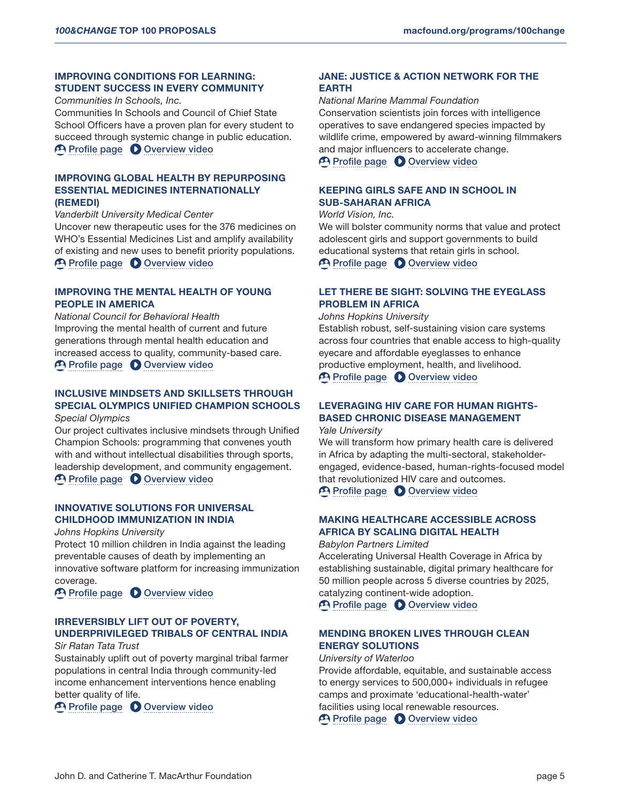# IMPROVING CONDITIONS FOR LEARNING: STUDENT SUCCESS IN EVERY COMMUNITY

*Communities In Schools, Inc.*

Communities In Schools and Council of Chief State School Officers have a proven plan for every student to succeed through systemic change in public education. [Profile page](https://solutions.leverforchange.org/100-change-2020/improving-conditions-for-learning-student-success-in-every-community/) **O** [Overview video](https://www.youtube.com/watch?v=TkyeGH951k0)

# IMPROVING GLOBAL HEALTH BY REPURPOSING ESSENTIAL MEDICINES INTERNATIONALLY (REMEDI)

*Vanderbilt University Medical Center*

Uncover new therapeutic uses for the 376 medicines on WHO's Essential Medicines List and amplify availability of existing and new uses to benefit priority populations. [Profile page](https://solutions.leverforchange.org/100-change-2020/improving-global-health-by-repurposing-essential-medicines-internationally-remedi/) **O** [Overview video](https://www.youtube.com/watch?v=MuuACS2hgX8)

# IMPROVING THE MENTAL HEALTH OF YOUNG PEOPLE IN AMERICA

*National Council for Behavioral Health* Improving the mental health of current and future generations through mental health education and increased access to quality, community-based care. **P [Profile page](https://solutions.leverforchange.org/100-change-2020/improving-the-mental-health-of-young-people-in-america/) C** [Overview video](https://www.youtube.com/watch?v=DYSM7yPfny8)

# INCLUSIVE MINDSETS AND SKILLSETS THROUGH SPECIAL OLYMPICS UNIFIED CHAMPION SCHOOLS

*Special Olympics*

Our project cultivates inclusive mindsets through Unified Champion Schools: programming that convenes youth with and without intellectual disabilities through sports, leadership development, and community engagement. **P** [Profile page](https://solutions.leverforchange.org/100-change-2020/inclusive-mindsets-and-skillsets-through-special-olympics-unified-champion-schools/) **O** [Overview video](https://www.youtube.com/watch?v=rpC967vU64k)

# INNOVATIVE SOLUTIONS FOR UNIVERSAL CHILDHOOD IMMUNIZATION IN INDIA

*Johns Hopkins University*

Protect 10 million children in India against the leading preventable causes of death by implementing an innovative software platform for increasing immunization coverage.

[Profile page](https://solutions.leverforchange.org/100-change-2020/innovative-solutions-for-universal-childhood-immunization-in-india/) **O** [Overview video](https://www.youtube.com/watch?v=yYzRr8tl62Y)

# IRREVERSIBLY LIFT OUT OF POVERTY, UNDERPRIVILEGED TRIBALS OF CENTRAL INDIA

*Sir Ratan Tata Trust*

Sustainably uplift out of poverty marginal tribal farmer populations in central India through community-led income enhancement interventions hence enabling better quality of life.

**P** [Profile page](https://solutions.leverforchange.org/100-change-2020/irreversibly-lift-out-of-poverty-underprivileged-tribals-of-central-india/) **O** [Overview video](https://www.youtube.com/watch?v=oczoNgJbnks)

### JANE: JUSTICE & ACTION NETWORK FOR THE EARTH

*National Marine Mammal Foundation* Conservation scientists join forces with intelligence operatives to save endangered species impacted by wildlife crime, empowered by award-winning filmmakers and major influencers to accelerate change.

**P [Profile page](https://solutions.leverforchange.org/100-change-2020/jane-justice-action-network-for-the-earth/) C** [Overview video](https://www.youtube.com/watch?v=Jvg6LJ1SqS8)

# KEEPING GIRLS SAFE AND IN SCHOOL IN SUB-SAHARAN AFRICA

*World Vision, Inc.* We will bolster community norms that value and protect adolescent girls and support governments to build educational systems that retain girls in school. **P [Profile page](https://solutions.leverforchange.org/100-change-2020/keeping-girls-safe-and-in-school-in-sub-saharan-africa/) C** [Overview video](https://www.youtube.com/watch?v=niO_VtI95es)

# LET THERE BE SIGHT: SOLVING THE EYEGLASS PROBLEM IN AFRICA

*Johns Hopkins University*

Establish robust, self-sustaining vision care systems across four countries that enable access to high-quality eyecare and affordable eyeglasses to enhance productive employment, health, and livelihood. [Profile page](https://solutions.leverforchange.org/100-change-2020/let-there-be-sight-solving-the-eyeglass-problem-in-africa/) **O** [Overview video](https://www.youtube.com/watch?v=5C38Ap3eWJY)

# LEVERAGING HIV CARE FOR HUMAN RIGHTS-BASED CHRONIC DISEASE MANAGEMENT

*Yale University*

We will transform how primary health care is delivered in Africa by adapting the multi-sectoral, stakeholderengaged, evidence-based, human-rights-focused model that revolutionized HIV care and outcomes.

[Profile page](https://solutions.leverforchange.org/100-change-2020/leveraging-hiv-care-for-human-rights-based-chronic-disease-management/) **O** [Overview video](https://www.youtube.com/watch?v=mpp1NW6Rh6s)

# MAKING HEALTHCARE ACCESSIBLE ACROSS AFRICA BY SCALING DIGITAL HEALTH

*Babylon Partners Limited* Accelerating Universal Health Coverage in Africa by establishing sustainable, digital primary healthcare for 50 million people across 5 diverse countries by 2025, catalyzing continent-wide adoption.

**P [Profile page](https://solutions.leverforchange.org/100-change-2020/making-healthcare-accessible-across-africa-by-scaling-digital-health/) C** [Overview video](https://www.youtube.com/watch?v=MmpyK1mf814)

# MENDING BROKEN LIVES THROUGH CLEAN ENERGY SOLUTIONS

*University of Waterloo*

Provide affordable, equitable, and sustainable access to energy services to 500,000+ individuals in refugee camps and proximate 'educational-health-water' facilities using local renewable resources.

**P [Profile page](https://solutions.leverforchange.org/100-change-2020/mending-broken-lives-through-clean-energy-solutions/) C** [Overview video](https://www.youtube.com/watch?v=62RhqS-SfHs)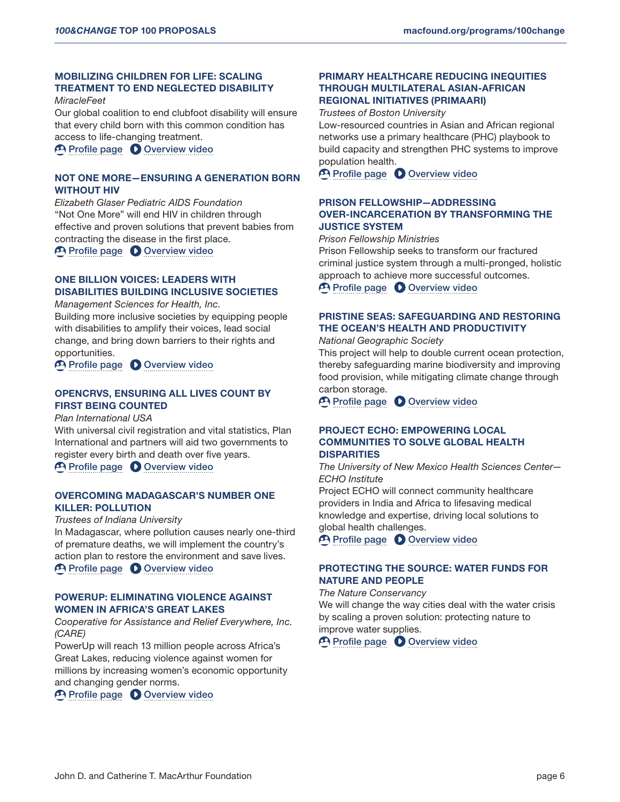# MOBILIZING CHILDREN FOR LIFE: SCALING TREATMENT TO END NEGLECTED DISABILITY

#### *MiracleFeet*

Our global coalition to end clubfoot disability will ensure that every child born with this common condition has access to life-changing treatment.

**P [Profile page](https://solutions.leverforchange.org/100-change-2020/mobilizing-children-for-life-scaling-treatment-to-end-neglected-disability/) C** [Overview video](https://www.youtube.com/watch?v=dS5BwyzDQRU)

# NOT ONE MORE—ENSURING A GENERATION BORN WITHOUT HIV

*Elizabeth Glaser Pediatric AIDS Foundation* "Not One More" will end HIV in children through effective and proven solutions that prevent babies from contracting the disease in the first place.

**P [Profile page](https://solutions.leverforchange.org/100-change-2020/not-one-more-ensuring-a-generation-born-without-hiv/) C** [Overview video](https://www.youtube.com/watch?v=sZb80YI5mc8)

# ONE BILLION VOICES: LEADERS WITH DISABILITIES BUILDING INCLUSIVE SOCIETIES

#### *Management Sciences for Health, Inc.*

Building more inclusive societies by equipping people with disabilities to amplify their voices, lead social change, and bring down barriers to their rights and opportunities.

[Profile page](https://solutions.leverforchange.org/100-change-2020/one-billion-voices-leaders-with-disabilities-building-inclusive-societies/) **O** [Overview video](https://www.youtube.com/watch?v=Ce0euKHJvCI)

# OPENCRVS, ENSURING ALL LIVES COUNT BY FIRST BEING COUNTED

*Plan International USA*

With universal civil registration and vital statistics, Plan International and partners will aid two governments to register every birth and death over five years.

**P [Profile page](https://solutions.leverforchange.org/100-change-2020/opencrvs-ensuring-all-lives-count-by-first-being-counted/) C** [Overview video](https://www.youtube.com/watch?v=PYX08eyPLh8)

# OVERCOMING MADAGASCAR'S NUMBER ONE KILLER: POLLUTION

*Trustees of Indiana University*

In Madagascar, where pollution causes nearly one-third of premature deaths, we will implement the country's action plan to restore the environment and save lives. **P [Profile page](https://solutions.leverforchange.org/100-change-2020/overcoming-madagascars-number-one-killer-pollution/) C** [Overview video](https://www.youtube.com/watch?v=j4abE7pEr6k)

#### POWERUP: ELIMINATING VIOLENCE AGAINST WOMEN IN AFRICA'S GREAT LAKES

*Cooperative for Assistance and Relief Everywhere, Inc. (CARE)*

PowerUp will reach 13 million people across Africa's Great Lakes, reducing violence against women for millions by increasing women's economic opportunity and changing gender norms.

[Profile page](https://solutions.leverforchange.org/100-change-2020/powerup-eliminating-violence-against-women-in-africas-great-lakes/) **O** [Overview video](https://www.youtube.com/watch?v=8XVbH7RR194)

### PRIMARY HEALTHCARE REDUCING INEQUITIES THROUGH MULTILATERAL ASIAN-AFRICAN REGIONAL INITIATIVES (PRIMAARI)

*Trustees of Boston University*

Low-resourced countries in Asian and African regional networks use a primary healthcare (PHC) playbook to build capacity and strengthen PHC systems to improve population health.

[Profile page](https://solutions.leverforchange.org/100-change-2020/primary-healthcare-reducing-inequities-through-multilateral-asian-african-regional-initiatives-primaari/) **O** [Overview video](https://www.youtube.com/watch?v=Xd6PkNxBwl0)

# PRISON FELLOWSHIP—ADDRESSING OVER-INCARCERATION BY TRANSFORMING THE JUSTICE SYSTEM

*Prison Fellowship Ministries*

Prison Fellowship seeks to transform our fractured criminal justice system through a multi-pronged, holistic approach to achieve more successful outcomes. **P [Profile page](https://solutions.leverforchange.org/100-change-2020/prison-fellowship-addressing-over-incarceration-by-transforming-the-justice-system/) C** [Overview video](https://www.youtube.com/watch?v=M1c30cr45MY)

PRISTINE SEAS: SAFEGUARDING AND RESTORING THE OCEAN'S HEALTH AND PRODUCTIVITY

*National Geographic Society*

This project will help to double current ocean protection, thereby safeguarding marine biodiversity and improving food provision, while mitigating climate change through carbon storage.

**P [Profile page](https://solutions.leverforchange.org/100-change-2020/pristine-seas-safeguarding-and-restoring-the-oceans-health-and-productivity/) C** [Overview video](https://www.youtube.com/watch?v=DRRzNrGdud4)

### PROJECT ECHO: EMPOWERING LOCAL COMMUNITIES TO SOLVE GLOBAL HEALTH **DISPARITIES**

*The University of New Mexico Health Sciences Center— ECHO Institute*

Project ECHO will connect community healthcare providers in India and Africa to lifesaving medical knowledge and expertise, driving local solutions to global health challenges.

**P [Profile page](https://solutions.leverforchange.org/100-change-2020/project-echo-empowering-local-communities-to-solve-global-health-disparities/) C** [Overview video](https://www.youtube.com/watch?v=wTz29ZzA1cw)

# PROTECTING THE SOURCE: WATER FUNDS FOR NATURE AND PEOPLE

#### *The Nature Conservancy*

We will change the way cities deal with the water crisis by scaling a proven solution: protecting nature to improve water supplies.

**P [Profile page](https://solutions.leverforchange.org/100-change-2020/protecting-the-source-water-funds-for-nature-and-people/) C** [Overview video](https://www.youtube.com/watch?v=X4IdIbIeDso)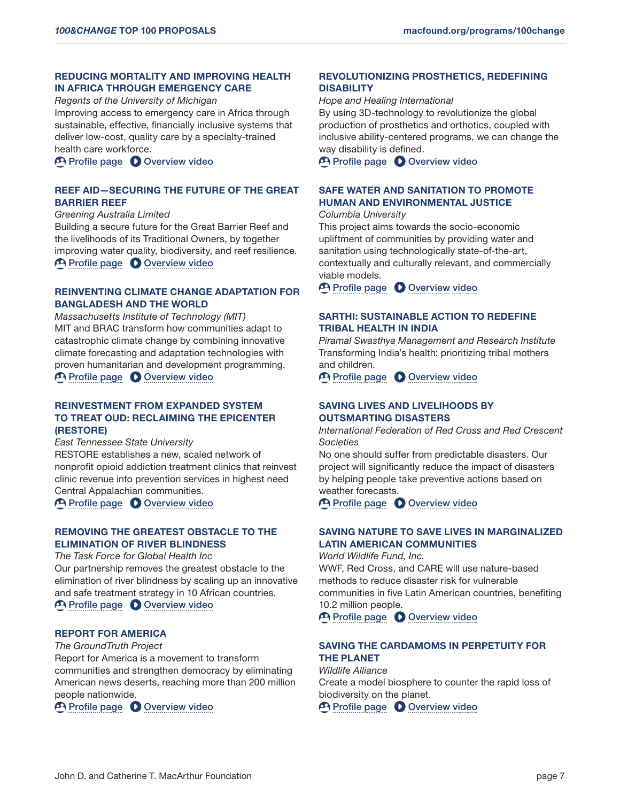# REDUCING MORTALITY AND IMPROVING HEALTH IN AFRICA THROUGH EMERGENCY CARE

*Regents of the University of Michigan* Improving access to emergency care in Africa through sustainable, effective, financially inclusive systems that deliver low-cost, quality care by a specialty-trained health care workforce.

**P [Profile page](https://solutions.leverforchange.org/100-change-2020/reducing-mortality-and-improving-health-in-africa-through-emergency-care/) C** [Overview video](https://www.youtube.com/watch?v=v3zeXenaoAE)

### REEF AID—SECURING THE FUTURE OF THE GREAT BARRIER REEF

*Greening Australia Limited* Building a secure future for the Great Barrier Reef and the livelihoods of its Traditional Owners, by together improving water quality, biodiversity, and reef resilience. [Profile page](https://solutions.leverforchange.org/100-change-2020/reef-aid-securing-the-future-of-the-great-barrier-reef/) **O** [Overview video](https://www.youtube.com/watch?v=HWx9uscLEuA)

# REINVENTING CLIMATE CHANGE ADAPTATION FOR BANGLADESH AND THE WORLD

*Massachusetts Institute of Technology (MIT)* MIT and BRAC transform how communities adapt to catastrophic climate change by combining innovative climate forecasting and adaptation technologies with proven humanitarian and development programming. **P [Profile page](https://solutions.leverforchange.org/100-change-2020/reinventing-climate-change-adaptation-for-bangladesh-and-the-world/) O [Overview video](https://www.youtube.com/watch?v=NV_j7YQLkTc)** 

# REINVESTMENT FROM EXPANDED SYSTEM TO TREAT OUD: RECLAIMING THE EPICENTER (RESTORE)

*East Tennessee State University*

RESTORE establishes a new, scaled network of nonprofit opioid addiction treatment clinics that reinvest clinic revenue into prevention services in highest need Central Appalachian communities. [Profile page](https://solutions.leverforchange.org/100-change-2020/reinvestment-from-expanded-system-to-treat-oud-reclaiming-the-epicenter/) **O** [Overview video](https://www.youtube.com/watch?v=TH6vYg15r0E)

#### REMOVING THE GREATEST OBSTACLE TO THE ELIMINATION OF RIVER BLINDNESS

*The Task Force for Global Health Inc*

Our partnership removes the greatest obstacle to the elimination of river blindness by scaling up an innovative and safe treatment strategy in 10 African countries. **P [Profile page](https://solutions.leverforchange.org/100-change-2020/removing-the-greatest-obstacle-to-the-elimination-of-river-blindness/) C** [Overview video](https://www.youtube.com/watch?v=UyZtAnwp4BA)

### REPORT FOR AMERICA

*The GroundTruth Project*

Report for America is a movement to transform communities and strengthen democracy by eliminating American news deserts, reaching more than 200 million people nationwide.

**P** [Profile page](https://solutions.leverforchange.org/100-change-2020/report-for-america/) **O** [Overview video](https://www.youtube.com/watch?v=EVtmRmellac)

REVOLUTIONIZING PROSTHETICS, REDEFINING **DISABILITY** 

#### *Hope and Healing International*

By using 3D-technology to revolutionize the global production of prosthetics and orthotics, coupled with inclusive ability-centered programs, we can change the way disability is defined.

**P [Profile page](https://solutions.leverforchange.org/100-change-2020/revolutionizing-prosthetics-redefining-disability/) C** [Overview video](https://www.youtube.com/watch?v=aurFgyD4CVE)

# SAFE WATER AND SANITATION TO PROMOTE HUMAN AND ENVIRONMENTAL JUSTICE

#### *Columbia University*

This project aims towards the socio-economic upliftment of communities by providing water and sanitation using technologically state-of-the-art, contextually and culturally relevant, and commercially viable models.

[Profile page](https://solutions.leverforchange.org/100-change-2020/safe-water-and-sanitation-to-promote-human-and-environmental-justice/) **O** [Overview video](https://www.youtube.com/watch?v=I-hPGpigp2o)

# SARTHI: SUSTAINABLE ACTION TO REDEFINE TRIBAL HEALTH IN INDIA

*Piramal Swasthya Management and Research Institute* Transforming India's health: prioritizing tribal mothers and children.

[Profile page](https://solutions.leverforchange.org/100-change-2020/sarthi-sustainable-action-to-redefine-tribal-health-in-india/) **O** [Overview video](https://www.youtube.com/watch?v=5E8IOC2Ky3U)

# SAVING LIVES AND LIVELIHOODS BY OUTSMARTING DISASTERS

*International Federation of Red Cross and Red Crescent Societies*

No one should suffer from predictable disasters. Our project will significantly reduce the impact of disasters by helping people take preventive actions based on weather forecasts.

[Profile page](https://solutions.leverforchange.org/100-change-2020/saving-lives-and-livelihoods-by-outsmarting-disasters/) **O** [Overview video](https://www.youtube.com/watch?v=5jQTOaCmL-Y)

### SAVING NATURE TO SAVE LIVES IN MARGINALIZED LATIN AMERICAN COMMUNITIES

*World Wildlife Fund, Inc.* WWF, Red Cross, and CARE will use nature-based methods to reduce disaster risk for vulnerable communities in five Latin American countries, benefiting 10.2 million people.

**P** [Profile page](https://solutions.leverforchange.org/100-change-2020/saving-nature-to-save-lives-in-marginalized-latin-american-communities/) **O** [Overview video](https://www.youtube.com/watch?v=lo2w8pWmgv0)

# SAVING THE CARDAMOMS IN PERPETUITY FOR THE PLANET

*Wildlife Alliance* Create a model biosphere to counter the rapid loss of biodiversity on the planet.

**P** [Profile page](https://solutions.leverforchange.org/100-change-2020/saving-the-cardamoms-in-perpetuity-for-the-planet/) **O** [Overview video](https://www.youtube.com/watch?v=z8u6_iC0rLk)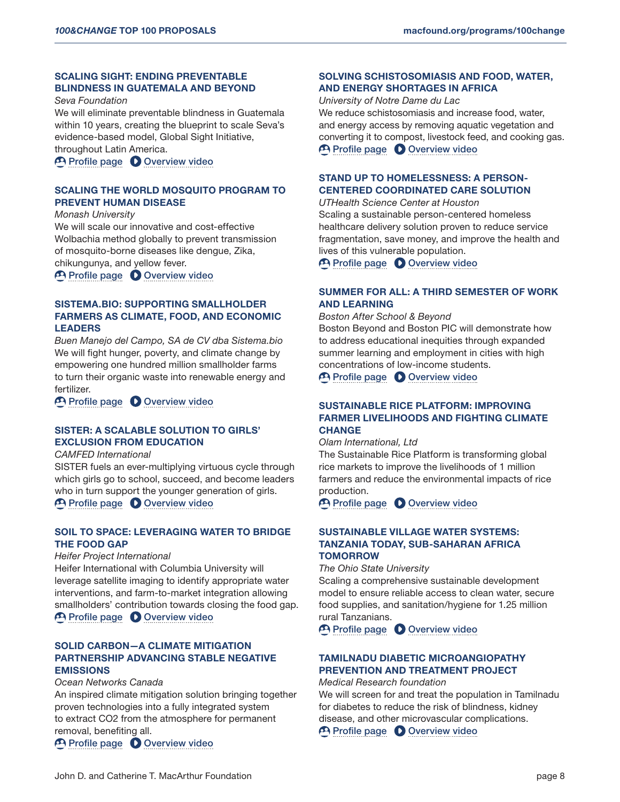# SCALING SIGHT: ENDING PREVENTABLE BLINDNESS IN GUATEMALA AND BEYOND

#### *Seva Foundation*

We will eliminate preventable blindness in Guatemala within 10 years, creating the blueprint to scale Seva's evidence-based model, Global Sight Initiative, throughout Latin America.

**P** [Profile page](https://solutions.leverforchange.org/100-change-2020/scaling-sight-ending-preventable-blindness-in-guatemala-and-beyond/) **O** [Overview video](https://www.youtube.com/watch?v=9KCE3opqmQk)

#### SCALING THE WORLD MOSQUITO PROGRAM TO PREVENT HUMAN DISEASE

*Monash University*

We will scale our innovative and cost-effective Wolbachia method globally to prevent transmission of mosquito-borne diseases like dengue, Zika, chikungunya, and yellow fever.

[Profile page](https://solutions.leverforchange.org/100-change-2020/scaling-the-world-mosquito-program-to-prevent-human-disease/) **O** [Overview video](https://www.youtube.com/watch?v=ggtK2wyG4EI)

# SISTEMA.BIO: SUPPORTING SMALLHOLDER FARMERS AS CLIMATE, FOOD, AND ECONOMIC LEADERS

*Buen Manejo del Campo, SA de CV dba Sistema.bio* We will fight hunger, poverty, and climate change by empowering one hundred million smallholder farms to turn their organic waste into renewable energy and fertilizer.

**P [Profile page](https://solutions.leverforchange.org/100-change-2020/sistemabio-supporting-smallholder-farmers-as-climate-food-and-economic-leaders/) C** [Overview video](https://www.youtube.com/watch?v=V1KhqqxTxQs)

#### SISTER: A SCALABLE SOLUTION TO GIRLS' EXCLUSION FROM EDUCATION

#### *CAMFED International*

SISTER fuels an ever-multiplying virtuous cycle through which girls go to school, succeed, and become leaders who in turn support the younger generation of girls. [Profile page](https://solutions.leverforchange.org/100-change-2020/sister-a-scalable-solution-to-girls-exclusion-from-education/) **O** [Overview video](https://www.youtube.com/watch?v=LrjuOH0lvEs)

### SOIL TO SPACE: LEVERAGING WATER TO BRIDGE THE FOOD GAP

#### *Heifer Project International*

Heifer International with Columbia University will leverage satellite imaging to identify appropriate water interventions, and farm-to-market integration allowing smallholders' contribution towards closing the food gap. **P [Profile page](https://solutions.leverforchange.org/100-change-2020/soil-to-space-leveraging-water-to-bridge-the-food-gap/) C** [Overview video](https://www.youtube.com/watch?v=5tmypqyBbB4)

# SOLID CARBON—A CLIMATE MITIGATION PARTNERSHIP ADVANCING STABLE NEGATIVE EMISSIONS

#### *Ocean Networks Canada*

An inspired climate mitigation solution bringing together proven technologies into a fully integrated system to extract CO2 from the atmosphere for permanent removal, benefiting all.

**P [Profile page](https://solutions.leverforchange.org/100-change-2020/solid-carbona-climate-mitigation-partnership-advancing-stable-negative-emissions/) O [Overview video](https://www.youtube.com/watch?v=VreVDYq584c)** 

# SOLVING SCHISTOSOMIASIS AND FOOD, WATER, AND ENERGY SHORTAGES IN AFRICA

*University of Notre Dame du Lac*

We reduce schistosomiasis and increase food, water, and energy access by removing aquatic vegetation and converting it to compost, livestock feed, and cooking gas. [Profile page](https://solutions.leverforchange.org/100-change-2020/solving-schistosomiasis-and-food-water-and-energy-shortages-in-africa/) **O** [Overview video](https://www.youtube.com/watch?v=racXfKbkyRE)

# STAND UP TO HOMELESSNESS: A PERSON-CENTERED COORDINATED CARE SOLUTION

*UTHealth Science Center at Houston* Scaling a sustainable person-centered homeless healthcare delivery solution proven to reduce service fragmentation, save money, and improve the health and lives of this vulnerable population.

**P [Profile page](https://solutions.leverforchange.org/100-change-2020/stand-up-to-homelessness-a-person-centered-coordinated-care-solution/) C** [Overview video](https://www.youtube.com/watch?v=7_AxvMi35tY)

# SUMMER FOR ALL: A THIRD SEMESTER OF WORK AND LEARNING

*Boston After School & Beyond*

Boston Beyond and Boston PIC will demonstrate how to address educational inequities through expanded summer learning and employment in cities with high concentrations of low-income students. [Profile page](https://solutions.leverforchange.org/100-change-2020/summer-for-all-a-third-semester-of-work-and-learning/) **O** [Overview video](https://www.youtube.com/watch?v=sMbj38D8qUA)

# SUSTAINABLE RICE PLATFORM: IMPROVING FARMER LIVELIHOODS AND FIGHTING CLIMATE **CHANGE**

#### *Olam International, Ltd*

The Sustainable Rice Platform is transforming global rice markets to improve the livelihoods of 1 million farmers and reduce the environmental impacts of rice production.

[Profile page](https://solutions.leverforchange.org/100-change-2020/sustainable-rice-platform-improving-farmer-livelihoods-and-fighting-climate-change/) **O** [Overview video](https://www.youtube.com/watch?v=j8Tgy8OwC3c)

# SUSTAINABLE VILLAGE WATER SYSTEMS: TANZANIA TODAY, SUB-SAHARAN AFRICA **TOMORROW**

*The Ohio State University*

Scaling a comprehensive sustainable development model to ensure reliable access to clean water, secure food supplies, and sanitation/hygiene for 1.25 million rural Tanzanians.

**P** [Profile page](https://solutions.leverforchange.org/100-change-2020/sustainable-village-water-systems-tanzania-today-sub-saharan-africa-tomorrow/) **O** [Overview video](https://www.youtube.com/watch?v=wSEXqLdvYkc)

# TAMILNADU DIABETIC MICROANGIOPATHY PREVENTION AND TREATMENT PROJECT

*Medical Research foundation*

We will screen for and treat the population in Tamilnadu for diabetes to reduce the risk of blindness, kidney disease, and other microvascular complications. **P [Profile page](https://solutions.leverforchange.org/100-change-2020/tamilnadu-diabetic-microangiopathy-prevention-and-treatment-project/) C** [Overview video](https://www.youtube.com/watch?v=miN4Qu7a5A8)